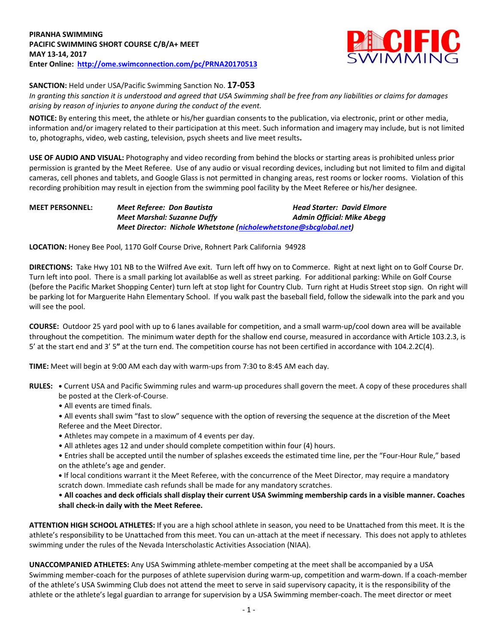

**SANCTION:** Held under USA/Pacific Swimming Sanction No. **17-053**

*In granting this sanction it is understood and agreed that USA Swimming shall be free from any liabilities or claims for damages arising by reason of injuries to anyone during the conduct of the event.*

**NOTICE:** By entering this meet, the athlete or his/her guardian consents to the publication, via electronic, print or other media, information and/or imagery related to their participation at this meet. Such information and imagery may include, but is not limited to, photographs, video, web casting, television, psych sheets and live meet results**.**

**USE OF AUDIO AND VISUAL:** Photography and video recording from behind the blocks or starting areas is prohibited unless prior permission is granted by the Meet Referee. Use of any audio or visual recording devices, including but not limited to film and digital cameras, cell phones and tablets, and Google Glass is not permitted in changing areas, rest rooms or locker rooms. Violation of this recording prohibition may result in ejection from the swimming pool facility by the Meet Referee or his/her designee.

#### **MEET PERSONNEL:** *Meet Referee: Don Bautista Head Starter: David Elmore Meet Marshal: Suzanne Duffy Admin Official: Mike Abegg Meet Director: Nichole Whetstone [\(nicholewhetstone@sbcglobal.net\)](mailto:nicholewhetstone@sbcglobal.net)*

**LOCATION:** Honey Bee Pool, 1170 Golf Course Drive, Rohnert Park California 94928

**DIRECTIONS:** Take Hwy 101 NB to the Wilfred Ave exit. Turn left off hwy on to Commerce. Right at next light on to Golf Course Dr. Turn left into pool. There is a small parking lot availabl6e as well as street parking. For additional parking: While on Golf Course (before the Pacific Market Shopping Center) turn left at stop light for Country Club. Turn right at Hudis Street stop sign. On right will be parking lot for Marguerite Hahn Elementary School. If you walk past the baseball field, follow the sidewalk into the park and you will see the pool.

**COURSE:** Outdoor 25 yard pool with up to 6 lanes available for competition, and a small warm-up/cool down area will be available throughout the competition. The minimum water depth for the shallow end course, measured in accordance with Article 103.2.3, is 5' at the start end and 3' 5**"** at the turn end. The competition course has not been certified in accordance with 104.2.2C(4).

**TIME:** Meet will begin at 9:00 AM each day with warm-ups from 7:30 to 8:45 AM each day.

- **RULES: •** Current USA and Pacific Swimming rules and warm-up procedures shall govern the meet. A copy of these procedures shall be posted at the Clerk-of-Course.
	- All events are timed finals.
	- All events shall swim "fast to slow" sequence with the option of reversing the sequence at the discretion of the Meet Referee and the Meet Director.
	- Athletes may compete in a maximum of 4 events per day.
	- All athletes ages 12 and under should complete competition within four (4) hours.
	- Entries shall be accepted until the number of splashes exceeds the estimated time line, per the "Four-Hour Rule," based on the athlete's age and gender.
	- **•** If local conditions warrant it the Meet Referee, with the concurrence of the Meet Director, may require a mandatory scratch down. Immediate cash refunds shall be made for any mandatory scratches.

## • **All coaches and deck officials shall display their current USA Swimming membership cards in a visible manner. Coaches shall check-in daily with the Meet Referee.**

**ATTENTION HIGH SCHOOL ATHLETES:** If you are a high school athlete in season, you need to be Unattached from this meet. It is the athlete's responsibility to be Unattached from this meet. You can un-attach at the meet if necessary. This does not apply to athletes swimming under the rules of the Nevada Interscholastic Activities Association (NIAA).

**UNACCOMPANIED ATHLETES:** Any USA Swimming athlete-member competing at the meet shall be accompanied by a USA Swimming member-coach for the purposes of athlete supervision during warm-up, competition and warm-down. If a coach-member of the athlete's USA Swimming Club does not attend the meet to serve in said supervisory capacity, it is the responsibility of the athlete or the athlete's legal guardian to arrange for supervision by a USA Swimming member-coach. The meet director or meet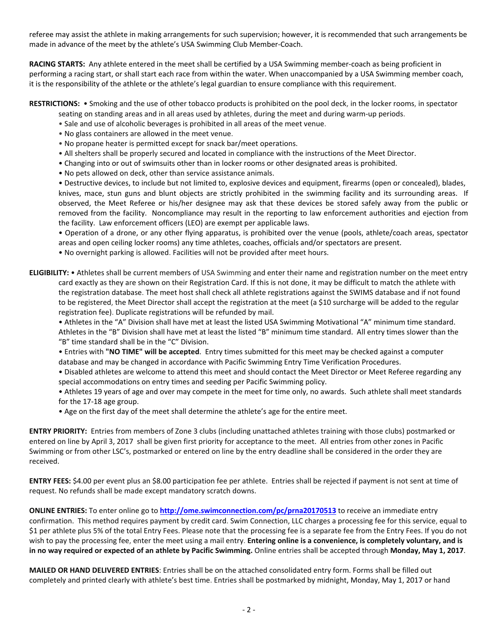referee may assist the athlete in making arrangements for such supervision; however, it is recommended that such arrangements be made in advance of the meet by the athlete's USA Swimming Club Member-Coach.

**RACING STARTS:** Any athlete entered in the meet shall be certified by a USA Swimming member-coach as being proficient in performing a racing start, or shall start each race from within the water. When unaccompanied by a USA Swimming member coach, it is the responsibility of the athlete or the athlete's legal guardian to ensure compliance with this requirement.

#### **RESTRICTIONS:** • Smoking and the use of other tobacco products is prohibited on the pool deck, in the locker rooms, in spectator seating on standing areas and in all areas used by athletes, during the meet and during warm-up periods.

- Sale and use of alcoholic beverages is prohibited in all areas of the meet venue.
- No glass containers are allowed in the meet venue.
- No propane heater is permitted except for snack bar/meet operations.
- All shelters shall be properly secured and located in compliance with the instructions of the Meet Director.
- Changing into or out of swimsuits other than in locker rooms or other designated areas is prohibited.
- No pets allowed on deck, other than service assistance animals.

• Destructive devices, to include but not limited to, explosive devices and equipment, firearms (open or concealed), blades, knives, mace, stun guns and blunt objects are strictly prohibited in the swimming facility and its surrounding areas. If observed, the Meet Referee or his/her designee may ask that these devices be stored safely away from the public or removed from the facility. Noncompliance may result in the reporting to law enforcement authorities and ejection from the facility. Law enforcement officers (LEO) are exempt per applicable laws.

• Operation of a drone, or any other flying apparatus, is prohibited over the venue (pools, athlete/coach areas, spectator areas and open ceiling locker rooms) any time athletes, coaches, officials and/or spectators are present.

• No overnight parking is allowed. Facilities will not be provided after meet hours.

## **ELIGIBILITY:** • Athletes shall be current members of USA Swimming and enter their name and registration number on the meet entry card exactly as they are shown on their Registration Card. If this is not done, it may be difficult to match the athlete with the registration database. The meet host shall check all athlete registrations against the SWIMS database and if not found to be registered, the Meet Director shall accept the registration at the meet (a \$10 surcharge will be added to the regular registration fee). Duplicate registrations will be refunded by mail.

• Athletes in the "A" Division shall have met at least the listed USA Swimming Motivational "A" minimum time standard. Athletes in the "B" Division shall have met at least the listed "B" minimum time standard. All entry times slower than the "B" time standard shall be in the "C" Division.

- Entries with **"NO TIME" will be accepted**. Entry times submitted for this meet may be checked against a computer database and may be changed in accordance with Pacific Swimming Entry Time Verification Procedures.
- Disabled athletes are welcome to attend this meet and should contact the Meet Director or Meet Referee regarding any special accommodations on entry times and seeding per Pacific Swimming policy.
- Athletes 19 years of age and over may compete in the meet for time only, no awards. Such athlete shall meet standards for the 17-18 age group.
- Age on the first day of the meet shall determine the athlete's age for the entire meet.

**ENTRY PRIORITY:** Entries from members of Zone 3 clubs (including unattached athletes training with those clubs) postmarked or entered on line by April 3, 2017 shall be given first priority for acceptance to the meet. All entries from other zones in Pacific Swimming or from other LSC's, postmarked or entered on line by the entry deadline shall be considered in the order they are received.

**ENTRY FEES:** \$4.00 per event plus an \$8.00 participation fee per athlete. Entries shall be rejected if payment is not sent at time of request. No refunds shall be made except mandatory scratch downs.

**ONLINE ENTRIES:** To enter online go to **<http://ome.swimconnection.com/pc/prna20170513>** to receive an immediate entry confirmation. This method requires payment by credit card. Swim Connection, LLC charges a processing fee for this service, equal to \$1 per athlete plus 5% of the total Entry Fees. Please note that the processing fee is a separate fee from the Entry Fees. If you do not wish to pay the processing fee, enter the meet using a mail entry. **Entering online is a convenience, is completely voluntary, and is in no way required or expected of an athlete by Pacific Swimming.** Online entries shall be accepted through **Monday, May 1, 2017**.

**MAILED OR HAND DELIVERED ENTRIES**: Entries shall be on the attached consolidated entry form. Forms shall be filled out completely and printed clearly with athlete's best time. Entries shall be postmarked by midnight, Monday, May 1, 2017 or hand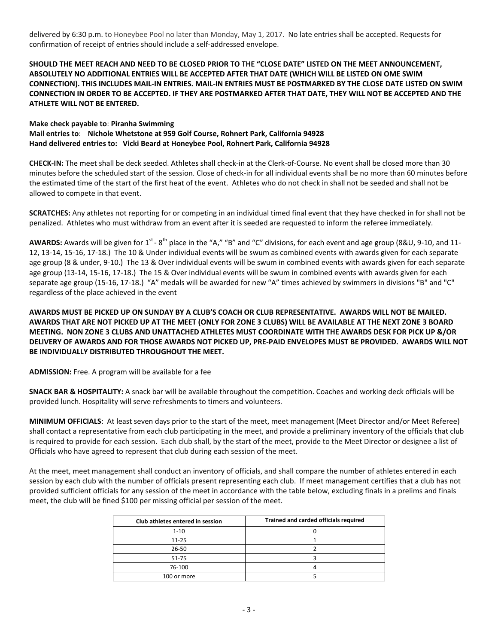delivered by 6:30 p.m. to Honeybee Pool no later than Monday, May 1, 2017. No late entries shall be accepted. Requests for confirmation of receipt of entries should include a self-addressed envelope.

**SHOULD THE MEET REACH AND NEED TO BE CLOSED PRIOR TO THE "CLOSE DATE" LISTED ON THE MEET ANNOUNCEMENT, ABSOLUTELY NO ADDITIONAL ENTRIES WILL BE ACCEPTED AFTER THAT DATE (WHICH WILL BE LISTED ON OME SWIM CONNECTION). THIS INCLUDES MAIL-IN ENTRIES. MAIL-IN ENTRIES MUST BE POSTMARKED BY THE CLOSE DATE LISTED ON SWIM CONNECTION IN ORDER TO BE ACCEPTED. IF THEY ARE POSTMARKED AFTER THAT DATE, THEY WILL NOT BE ACCEPTED AND THE ATHLETE WILL NOT BE ENTERED.**

#### **Make check payable to**: **Piranha Swimming**

**Mail entries to**: **Nichole Whetstone at 959 Golf Course, Rohnert Park, California 94928 Hand delivered entries to: Vicki Beard at Honeybee Pool, Rohnert Park, California 94928**

**CHECK-IN:** The meet shall be deck seeded. Athletes shall check-in at the Clerk-of-Course. No event shall be closed more than 30 minutes before the scheduled start of the session. Close of check-in for all individual events shall be no more than 60 minutes before the estimated time of the start of the first heat of the event. Athletes who do not check in shall not be seeded and shall not be allowed to compete in that event.

**SCRATCHES:** Any athletes not reporting for or competing in an individual timed final event that they have checked in for shall not be penalized. Athletes who must withdraw from an event after it is seeded are requested to inform the referee immediately.

AWARDS: Awards will be given for 1<sup>st</sup> - 8<sup>th</sup> place in the "A," "B" and "C" divisions, for each event and age group (8&U, 9-10, and 11-12, 13-14, 15-16, 17-18.) The 10 & Under individual events will be swum as combined events with awards given for each separate age group (8 & under, 9-10.) The 13 & Over individual events will be swum in combined events with awards given for each separate age group (13-14, 15-16, 17-18.) The 15 & Over individual events will be swum in combined events with awards given for each separate age group (15-16, 17-18.) "A" medals will be awarded for new "A" times achieved by swimmers in divisions "B" and "C" regardless of the place achieved in the event

## **AWARDS MUST BE PICKED UP ON SUNDAY BY A CLUB'S COACH OR CLUB REPRESENTATIVE. AWARDS WILL NOT BE MAILED. AWARDS THAT ARE NOT PICKED UP AT THE MEET (ONLY FOR ZONE 3 CLUBS) WILL BE AVAILABLE AT THE NEXT ZONE 3 BOARD MEETING. NON ZONE 3 CLUBS AND UNATTACHED ATHLETES MUST COORDINATE WITH THE AWARDS DESK FOR PICK UP &/OR DELIVERY OF AWARDS AND FOR THOSE AWARDS NOT PICKED UP, PRE-PAID ENVELOPES MUST BE PROVIDED. AWARDS WILL NOT BE INDIVIDUALLY DISTRIBUTED THROUGHOUT THE MEET.**

**ADMISSION:** Free. A program will be available for a fee

**SNACK BAR & HOSPITALITY:** A snack bar will be available throughout the competition. Coaches and working deck officials will be provided lunch. Hospitality will serve refreshments to timers and volunteers.

**MINIMUM OFFICIALS**: At least seven days prior to the start of the meet, meet management (Meet Director and/or Meet Referee) shall contact a representative from each club participating in the meet, and provide a preliminary inventory of the officials that club is required to provide for each session. Each club shall, by the start of the meet, provide to the Meet Director or designee a list of Officials who have agreed to represent that club during each session of the meet.

At the meet, meet management shall conduct an inventory of officials, and shall compare the number of athletes entered in each session by each club with the number of officials present representing each club. If meet management certifies that a club has not provided sufficient officials for any session of the meet in accordance with the table below, excluding finals in a prelims and finals meet, the club will be fined \$100 per missing official per session of the meet.

| Club athletes entered in session | Trained and carded officials required |  |  |  |  |  |  |
|----------------------------------|---------------------------------------|--|--|--|--|--|--|
| $1 - 10$                         |                                       |  |  |  |  |  |  |
| $11 - 25$                        |                                       |  |  |  |  |  |  |
| $26 - 50$                        |                                       |  |  |  |  |  |  |
| $51 - 75$                        |                                       |  |  |  |  |  |  |
| 76-100                           |                                       |  |  |  |  |  |  |
| 100 or more                      |                                       |  |  |  |  |  |  |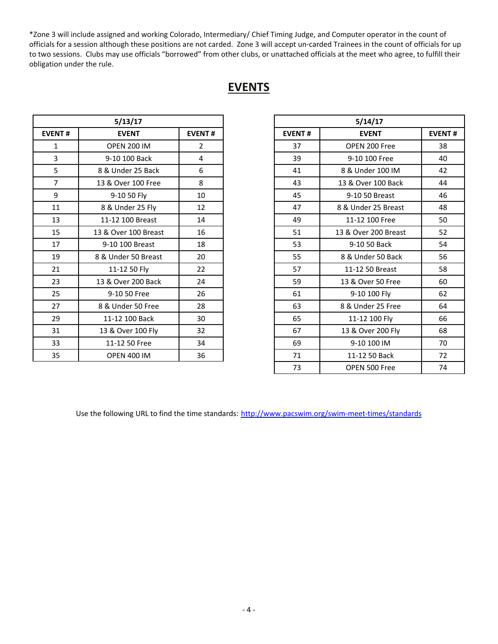\*Zone 3 will include assigned and working Colorado, Intermediary/ Chief Timing Judge, and Computer operator in the count of officials for a session although these positions are not carded. Zone 3 will accept un-carded Trainees in the count of officials for up to two sessions. Clubs may use officials "borrowed" from other clubs, or unattached officials at the meet who agree, to fulfill their obligation under the rule.

# **EVENTS**

| 5/13/17       |                      |                |  |  |  |  |  |  |
|---------------|----------------------|----------------|--|--|--|--|--|--|
| <b>EVENT#</b> | <b>EVENT</b>         | <b>EVENT#</b>  |  |  |  |  |  |  |
| 1             | <b>OPEN 200 IM</b>   | $\mathfrak{p}$ |  |  |  |  |  |  |
| 3             | 9-10 100 Back        | 4              |  |  |  |  |  |  |
| 5             | 8 & Under 25 Back    | 6              |  |  |  |  |  |  |
| 7             | 13 & Over 100 Free   | 8              |  |  |  |  |  |  |
| 9             | 9-10 50 Fly          | 10             |  |  |  |  |  |  |
| 11            | 8 & Under 25 Fly     | 12             |  |  |  |  |  |  |
| 13            | 11-12 100 Breast     | 14             |  |  |  |  |  |  |
| 15            | 13 & Over 100 Breast | 16             |  |  |  |  |  |  |
| 17            | 9-10 100 Breast      | 18             |  |  |  |  |  |  |
| 19            | 8 & Under 50 Breast  | 20             |  |  |  |  |  |  |
| 21            | 11-12 50 Fly         | 22             |  |  |  |  |  |  |
| 23            | 13 & Over 200 Back   | 24             |  |  |  |  |  |  |
| 25            | 9-10 50 Free         | 26             |  |  |  |  |  |  |
| 27            | 8 & Under 50 Free    | 28             |  |  |  |  |  |  |
| 29            | 11-12 100 Back       | 30             |  |  |  |  |  |  |
| 31            | 13 & Over 100 Fly    | 32             |  |  |  |  |  |  |
| 33            | 11-12 50 Free        | 34             |  |  |  |  |  |  |
| 35            | <b>OPEN 400 IM</b>   | 36             |  |  |  |  |  |  |

|                | 5/13/17              |                |
|----------------|----------------------|----------------|
| <b>EVENT#</b>  | <b>EVENT</b>         | <b>EVENT#</b>  |
| $\mathbf{1}$   | <b>OPEN 200 IM</b>   | $\overline{2}$ |
| 3              | 9-10 100 Back        | 4              |
| 5              | 8 & Under 25 Back    | 6              |
| $\overline{7}$ | 13 & Over 100 Free   | 8              |
| 9              | 9-10 50 Fly          | 10             |
| 11             | 8 & Under 25 Fly     | 12             |
| 13             | 11-12 100 Breast     | 14             |
| 15             | 13 & Over 100 Breast | 16             |
| 17             | 9-10 100 Breast      | 18             |
| 19             | 8 & Under 50 Breast  | 20             |
| 21             | 11-12 50 Fly         | 22             |
| 23             | 13 & Over 200 Back   | 24             |
| 25             | 9-10 50 Free         | 26             |
| 27             | 8 & Under 50 Free    | 28             |
| 29             | 11-12 100 Back       | 30             |
| 31             | 13 & Over 100 Fly    | 32             |
| 33             | 11-12 50 Free        | 34             |
| 35             | <b>OPEN 400 IM</b>   | 36             |
|                |                      |                |

Use the following URL to find the time standards: <http://www.pacswim.org/swim-meet-times/standards>